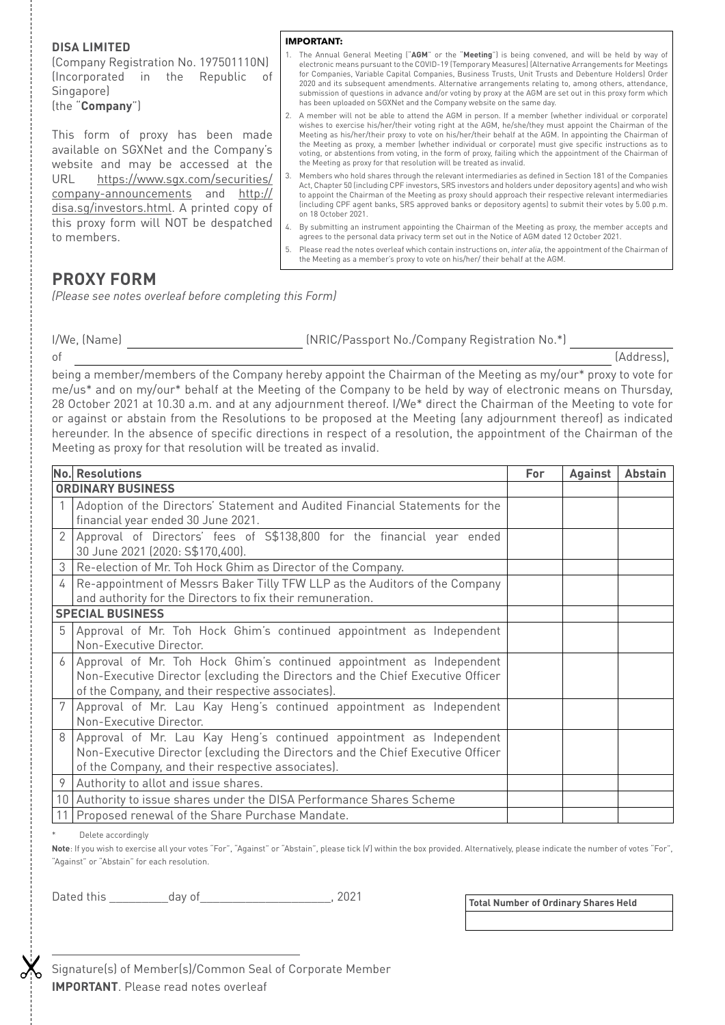## **DISA LIMITED**

(Company Registration No. 197501110N) (Incorporated in the Republic of Singapore) (the "**Company**")

This form of proxy has been made available on SGXNet and the Company's website and may be accessed at the URL https://www.sgx.com/securities/ company-announcements and http:// disa.sg/investors.html. A printed copy of this proxy form will NOT be despatched to members.

- **IMPORTANT:**
- 1. The Annual General Meeting ("**AGM**" or the "**Meeting**") is being convened, and will be held by way of electronic means pursuant to the COVID-19 (Temporary Measures) (Alternative Arrangements for Meetings for Companies, Variable Capital Companies, Business Trusts, Unit Trusts and Debenture Holders) Order 2020 and its subsequent amendments. Alternative arrangements relating to, among others, attendance, submission of questions in advance and/or voting by proxy at the AGM are set out in this proxy form which has been uploaded on SGXNet and the Company website on the same day.
- 2. A member will not be able to attend the AGM in person. If a member (whether individual or corporate) wishes to exercise his/her/their voting right at the AGM, he/she/they must appoint the Chairman of the Meeting as his/her/their proxy to vote on his/her/their behalf at the AGM. In appointing the Chairman of the Meeting as proxy, a member (whether individual or corporate) must give specific instructions as to voting, or abstentions from voting, in the form of proxy, failing which the appointment of the Chairman of the Meeting as proxy for that resolution will be treated as invalid.
- 3. Members who hold shares through the relevant intermediaries as defined in Section 181 of the Companies Act, Chapter 50 (including CPF investors, SRS investors and holders under depository agents) and who wish to appoint the Chairman of the Meeting as proxy should approach their respective relevant intermediaries (including CPF agent banks, SRS approved banks or depository agents) to submit their votes by 5.00 p.m. on 18 October 2021.
- 4. By submitting an instrument appointing the Chairman of the Meeting as proxy, the member accepts and agrees to the personal data privacy term set out in the Notice of AGM dated 12 October 2021.
- 5. Please read the notes overleaf which contain instructions on, *inter alia*, the appointment of the Chairman of the Meeting as a member's proxy to vote on his/her/ their behalf at the AGM.

# **PROXY FORM**

*(Please see notes overleaf before completing this Form)*

I/We, (Name) (NRIC/Passport No./Company Registration No.\*)

of [Address],

being a member/members of the Company hereby appoint the Chairman of the Meeting as my/our\* proxy to vote for me/us\* and on my/our\* behalf at the Meeting of the Company to be held by way of electronic means on Thursday, 28 October 2021 at 10.30 a.m. and at any adjournment thereof. I/We\* direct the Chairman of the Meeting to vote for or against or abstain from the Resolutions to be proposed at the Meeting (any adjournment thereof) as indicated hereunder. In the absence of specific directions in respect of a resolution, the appointment of the Chairman of the Meeting as proxy for that resolution will be treated as invalid.

|                          | <b>No. Resolutions</b>                                                                                                                                                                                       | For | <b>Against</b> | <b>Abstain</b> |
|--------------------------|--------------------------------------------------------------------------------------------------------------------------------------------------------------------------------------------------------------|-----|----------------|----------------|
| <b>ORDINARY BUSINESS</b> |                                                                                                                                                                                                              |     |                |                |
|                          | Adoption of the Directors' Statement and Audited Financial Statements for the<br>financial year ended 30 June 2021.                                                                                          |     |                |                |
| 2                        | Approval of Directors' fees of S\$138,800 for the financial year ended<br>30 June 2021 (2020: S\$170,400).                                                                                                   |     |                |                |
| 3                        | Re-election of Mr. Toh Hock Ghim as Director of the Company.                                                                                                                                                 |     |                |                |
|                          | Re-appointment of Messrs Baker Tilly TFW LLP as the Auditors of the Company<br>and authority for the Directors to fix their remuneration.                                                                    |     |                |                |
| <b>SPECIAL BUSINESS</b>  |                                                                                                                                                                                                              |     |                |                |
|                          | Approval of Mr. Toh Hock Ghim's continued appointment as Independent<br>Non-Executive Director.                                                                                                              |     |                |                |
|                          | Approval of Mr. Toh Hock Ghim's continued appointment as Independent<br>Non-Executive Director (excluding the Directors and the Chief Executive Officer<br>of the Company, and their respective associates). |     |                |                |
|                          | Approval of Mr. Lau Kay Heng's continued appointment as Independent<br>Non-Executive Director.                                                                                                               |     |                |                |
|                          | Approval of Mr. Lau Kay Heng's continued appointment as Independent<br>Non-Executive Director (excluding the Directors and the Chief Executive Officer<br>of the Company, and their respective associates).  |     |                |                |
| 9                        | Authority to allot and issue shares.                                                                                                                                                                         |     |                |                |
|                          | 10 Authority to issue shares under the DISA Performance Shares Scheme                                                                                                                                        |     |                |                |
|                          | 11   Proposed renewal of the Share Purchase Mandate.                                                                                                                                                         |     |                |                |

Delete accordingly

**Note**: If you wish to exercise all your votes "For", "Against" or "Abstain", please tick (√) within the box provided. Alternatively, please indicate the number of votes "For", "Against" or "Abstain" for each resolution.

Dated this \_\_\_\_\_\_\_\_\_day of\_\_\_\_\_\_\_\_\_\_\_\_\_\_\_\_\_\_\_\_, 2021

**Total Number of Ordinary Shares Held**

Signature(s) of Member(s)/Common Seal of Corporate Member **IMPORTANT**. Please read notes overleaf